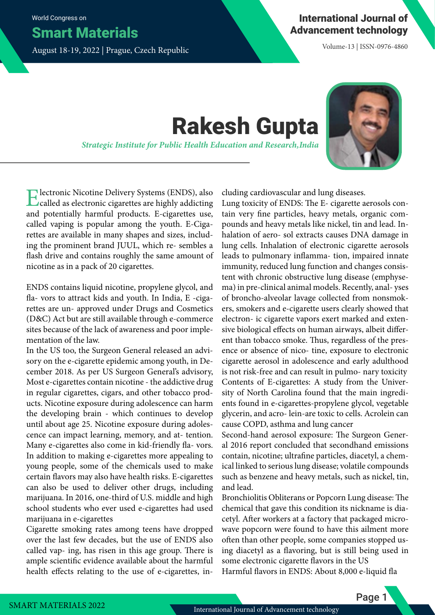World Congress on

Smart Materials

August 18-19, 2022 | Prague, Czech Republic

Volume-13 | ISSN-0976-4860

## Rakesh Gupta

*Strategic Institute for Public Health Education and Research, India*



Electronic Nicotine Delivery Systems (ENDS), also called as electronic cigarettes are highly addicting and potentially harmful products. E-cigarettes use, called vaping is popular among the youth. E-Cigarettes are available in many shapes and sizes, including the prominent brand JUUL, which re- sembles a flash drive and contains roughly the same amount of nicotine as in a pack of 20 cigarettes.

ENDS contains liquid nicotine, propylene glycol, and fla- vors to attract kids and youth. In India, E -cigarettes are un- approved under Drugs and Cosmetics (D&C) Act but are still available through e-commerce sites because of the lack of awareness and poor implementation of the law.

In the US too, the Surgeon General released an advisory on the e-cigarette epidemic among youth, in December 2018. As per US Surgeon General's advisory, Most e-cigarettes contain nicotine - the addictive drug in regular cigarettes, cigars, and other tobacco products. Nicotine exposure during adolescence can harm the developing brain - which continues to develop until about age 25. Nicotine exposure during adolescence can impact learning, memory, and at- tention. Many e-cigarettes also come in kid-friendly fla- vors. In addition to making e-cigarettes more appealing to young people, some of the chemicals used to make certain flavors may also have health risks. E-cigarettes can also be used to deliver other drugs, including marijuana. In 2016, one-third of U.S. middle and high school students who ever used e-cigarettes had used marijuana in e-cigarettes

Cigarette smoking rates among teens have dropped over the last few decades, but the use of ENDS also called vap- ing, has risen in this age group. There is ample scientific evidence available about the harmful health effects relating to the use of e-cigarettes, including cardiovascular and lung diseases.

Lung toxicity of ENDS: The E- cigarette aerosols contain very fine particles, heavy metals, organic compounds and heavy metals like nickel, tin and lead. Inhalation of aero- sol extracts causes DNA damage in lung cells. Inhalation of electronic cigarette aerosols leads to pulmonary inflamma- tion, impaired innate immunity, reduced lung function and changes consistent with chronic obstructive lung disease (emphysema) in pre-clinical animal models. Recently, anal- yses of broncho-alveolar lavage collected from nonsmokers, smokers and e-cigarette users clearly showed that electron- ic cigarette vapors exert marked and extensive biological effects on human airways, albeit different than tobacco smoke. Thus, regardless of the presence or absence of nico- tine, exposure to electronic cigarette aerosol in adolescence and early adulthood is not risk-free and can result in pulmo- nary toxicity Contents of E-cigarettes: A study from the University of North Carolina found that the main ingredients found in e-cigarettes-propylene glycol, vegetable glycerin, and acro- lein-are toxic to cells. Acrolein can cause COPD, asthma and lung cancer

Second-hand aerosol exposure: The Surgeon General 2016 report concluded that secondhand emissions contain, nicotine; ultrafine particles, diacetyl, a chemical linked to serious lung disease; volatile compounds such as benzene and heavy metals, such as nickel, tin, and lead.

Bronchiolitis Obliterans or Popcorn Lung disease: The chemical that gave this condition its nickname is diacetyl. After workers at a factory that packaged microwave popcorn were found to have this ailment more often than other people, some companies stopped using diacetyl as a flavoring, but is still being used in some electronic cigarette flavors in the US Harmful flavors in ENDS: About 8,000 e-liquid fla

Page 1